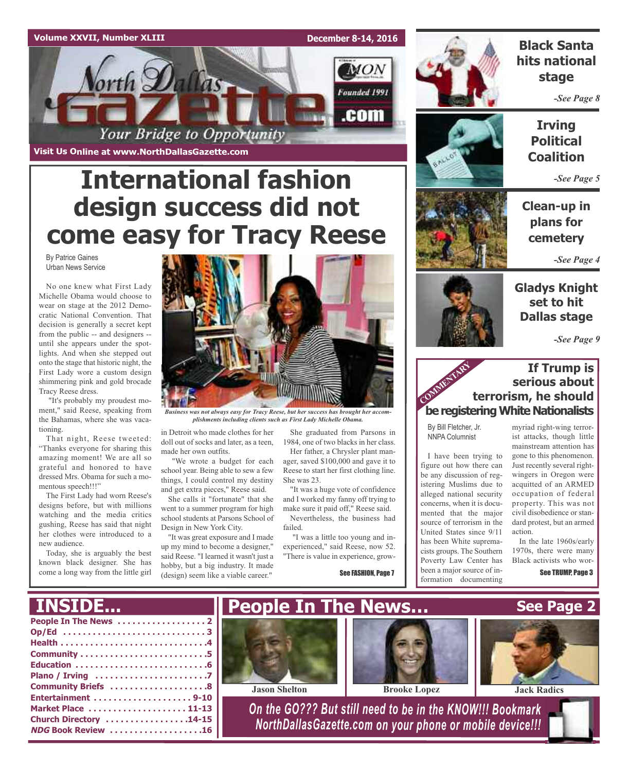### **Volume XXVII, Number XLIII**

**Visit Us Online at www.NorthDallasGazette.com**

orth Dallas

**December 8-14, 2016**

 $MON$ 

Founded 1991

.com



### **Black Santa hits national stage**

*-See Page 8*



**Irving Political Coalition**

*-See Page 5*

**Clean-up in plans for cemetery**

*-See Page 4*



**Gladys Knight set to hit Dallas stage**

*-See Page 9*

### **If Trump is serious about terrorism, he should be registering White Nationalists** COMMENTARY RES

By Bill Fletcher, Jr. NNPA Columnist

I have been trying to figure out how there can be any discussion of registering Muslims due to alleged national security concerns, when it is documented that the major source of terrorism in the United States since 9/11 has been White supremacists groups. The Southern Poverty Law Center has been a major source of information documenting

myriad right-wing terrorist attacks, though little mainstream attention has gone to this phenomenon. Just recently several rightwingers in Oregon were acquitted of an ARMED occupation of federal property. This was not civil disobedience or standard protest, but an armed action.

In the late 1960s/early 1970s, there were many Black activists who wor-

See TRUMP, Page 3

# **International fashion design success did not come easy for Tracy Reese**

Your Bridge to Opportunity

By Patrice Gaines Urban News Service

No one knew what First Lady Michelle Obama would choose to wear on stage at the 2012 Democratic National Convention. That decision is generally a secret kept from the public -- and designers - until she appears under the spotlights. And when she stepped out onto the stage that historic night, the First Lady wore a custom design shimmering pink and gold brocade Tracy Reese dress.

"It's probably my proudest moment," said Reese, speaking from the Bahamas, where she was vacationing.

That night, Reese tweeted: "Thanks everyone for sharing this amazing moment! We are all so grateful and honored to have dressed Mrs. Obama for such a momentous speech!!!"

The First Lady had worn Reese's designs before, but with millions watching and the media critics gushing, Reese has said that night her clothes were introduced to a new audience.

Today, she is arguably the best known black designer. She has come a long way from the little girl



*Business was not always easy for Tracy Reese, but her success has brought her accomplishments including clients such as First Lady Michelle Obama.*

in Detroit who made clothes for her doll out of socks and later, as a teen, made her own outfits.

"We wrote a budget for each school year. Being able to sew a few things, I could control my destiny and get extra pieces," Reese said.

She calls it "fortunate" that she went to a summer program for high school students at Parsons School of Design in New York City.

"It was great exposure and I made up my mind to become a designer," said Reese. "I learned it wasn't just a hobby, but a big industry. It made (design) seem like a viable career."

She graduated from Parsons in 1984, one of two blacks in her class.

Her father, a Chrysler plant manager, saved \$100,000 and gave it to Reese to start her first clothing line. She was 23.

"It was a huge vote of confidence and I worked my fanny off trying to make sure it paid off," Reese said. Nevertheless, the business had failed.

"I was a little too young and inexperienced," said Reese, now 52. "There is value in experience, grow-

See FASHION, Page 7

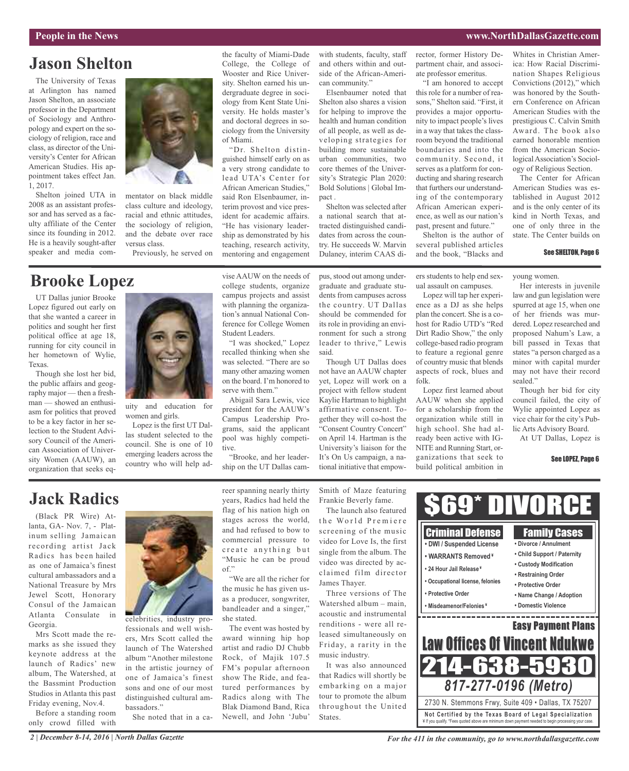#### **People in the News www.NorthDallasGazette.com**

### **Jason Shelton**

The University of Texas at Arlington has named Jason Shelton, an associate professor in the Department of Sociology and Anthropology and expert on the sociology of religion, race and class, as director of the University's Center for African American Studies. His appointment takes effect Jan. 1, 2017.

Shelton joined UTA in 2008 as an assistant professor and has served as a faculty affiliate of the Center since its founding in 2012. He is a heavily sought-after speaker and media com-



mentator on black middle class culture and ideology, racial and ethnic attitudes, the sociology of religion, and the debate over race versus class.

Previously, he served on

### **Brooke Lopez**

UT Dallas junior Brooke Lopez figured out early on that she wanted a career in politics and sought her first political office at age 18, running for city council in her hometown of Wylie, Texas.

Though she lost her bid, the public affairs and geography major — then a freshman — showed an enthusiasm for politics that proved to be a key factor in her selection to the Student Advisory Council of the American Association of University Women (AAUW), an organization that seeks eq-



uity and education for women and girls.

Lopez is the first UT Dallas student selected to the council. She is one of 10 emerging leaders across the country who will help ad-

vise AAUW on the needs of college students, organize campus projects and assist with planning the organization's annual National Conference for College Women Student Leaders. mentoring and engagement

the faculty of Miami-Dade College, the College of Wooster and Rice University. Shelton earned his undergraduate degree in sociology from Kent State University. He holds master's and doctoral degrees in sociology from the University

"Dr. Shelton distinguished himself early on as a very strong candidate to lead UTA's Center for African American Studies," said Ron Elsenbaumer, interim provost and vice president for academic affairs. "He has visionary leadership as demonstrated by his teaching, research activity,

of Miami.

"I was shocked," Lopez recalled thinking when she was selected. "There are so many other amazing women on the board. I'm honored to serve with them."

Abigail Sara Lewis, vice president for the AAUW's Campus Leadership Programs, said the applicant pool was highly competitive.

"Brooke, and her leadership on the UT Dallas camwith students, faculty, staff and others within and outside of the African-American community."

Elsenbaumer noted that Shelton also shares a vision for helping to improve the health and human condition of all people, as well as developing strategies for building more sustainable urban communities, two core themes of the University's Strategic Plan 2020: Bold Solutions | Global Impact .

Shelton was selected after a national search that attracted distinguished candidates from across the country. He succeeds W. Marvin Dulaney, interim CAAS di-

pus, stood out among undergraduate and graduate students from campuses across the country. UT Dallas should be commended for its role in providing an environment for such a strong leader to thrive," Lewis said.

Though UT Dallas does not have an AAUW chapter yet, Lopez will work on a project with fellow student Kaylie Hartman to highlight affirmative consent. Together they will co-host the "Consent Country Concert" on April 14. Hartman is the University's liaison for the It's On Us campaign, a national initiative that empowrector, former History Department chair, and associate professor emeritus.

"I am honored to accept this role for a number of reasons," Shelton said. "First, it provides a major opportunity to impact people's lives in a way that takes the classroom beyond the traditional boundaries and into the community. Second, it serves as a platform for conducting and sharing research that furthers our understanding of the contemporary African American experience, as well as our nation's past, present and future."

Shelton is the author of several published articles and the book, "Blacks and

ers students to help end sexual assault on campuses. Lopez will tap her experience as a DJ as she helps plan the concert. She is a cohost for Radio UTD's "Red Dirt Radio Show," the only college-based radio program to feature a regional genre of country music that blends aspects of rock, blues and

Lopez first learned about AAUW when she applied for a scholarship from the organization while still in high school. She had already been active with IG-NITE and Running Start, organizations that seek to build political ambition in

folk.

ica: How Racial Discrimination Shapes Religious Convictions (2012)," which was honored by the Southern Conference on African American Studies with the prestigious C. Calvin Smith Award. The book also earned honorable mention from the American SociologicalAssociation's Sociology of Religious Section. The Center for African

Whites in Christian Amer-

American Studies was established in August 2012 and is the only center of its kind in North Texas, and one of only three in the state. The Center builds on

### See SHELTON, Page 6

young women.

Her interests in juvenile law and gun legislation were spurred at age 15, when one of her friends was murdered. Lopez researched and proposed Nahum's Law, a bill passed in Texas that states "a person charged as a minor with capital murder may not have their record sealed."

Though her bid for city council failed, the city of Wylie appointed Lopez as vice chair for the city's Public Arts Advisory Board.

At UT Dallas, Lopez is

### See LOPEZ, Page 6

### **Jack Radics**

(Black PR Wire) Atlanta, GA- Nov. 7, - Platinum selling Jamaican recording artist Jack Radics has been hailed as one of Jamaica's finest cultural ambassadors and a National Treasure by Mrs Jewel Scott, Honorary Consul of the Jamaican Atlanta Consulate in Georgia.

Mrs Scott made the remarks as she issued they keynote address at the launch of Radics' new album, The Watershed, at the Bassmint Production Studios in Atlanta this past Friday evening, Nov.4.

Before a standing room only crowd filled with



fessionals and well wishers, Mrs Scott called the launch of The Watershed album "Another milestone in the artistic journey of one of Jamaica's finest sons and one of our most distinguished cultural ambassadors."

She noted that in a ca-

reer spanning nearly thirty years, Radics had held the flag of his nation high on stages across the world, and had refused to bow to commercial pressure to create anything but "Music he can be proud of."

"We are all the richer for the music he has given usas a producer, songwriter, bandleader and a singer," she stated.

The event was hosted by award winning hip hop artist and radio DJ Chubb Rock, of Majik 107.5 FM's popular afternoon show The Ride, and featured performances by Radics along with The Blak Diamond Band, Rica Newell, and John 'Jubu'

Smith of Maze featuring Frankie Beverly fame.

The launch also featured the World Premiere screening of the music video for Love Is, the first single from the album. The video was directed by acclaimed film director James Thayer.

Three versions of The Watershed album – main, acoustic and instrumental renditions - were all released simultaneously on Friday, a rarity in the music industry.

It was also announced that Radics will shortly be embarking on a major tour to promote the album throughout the United States.



*2 | December 8-14, 2016 | North Dallas Gazette*

*For the 411 in the community, go to www.northdallasgazette.com*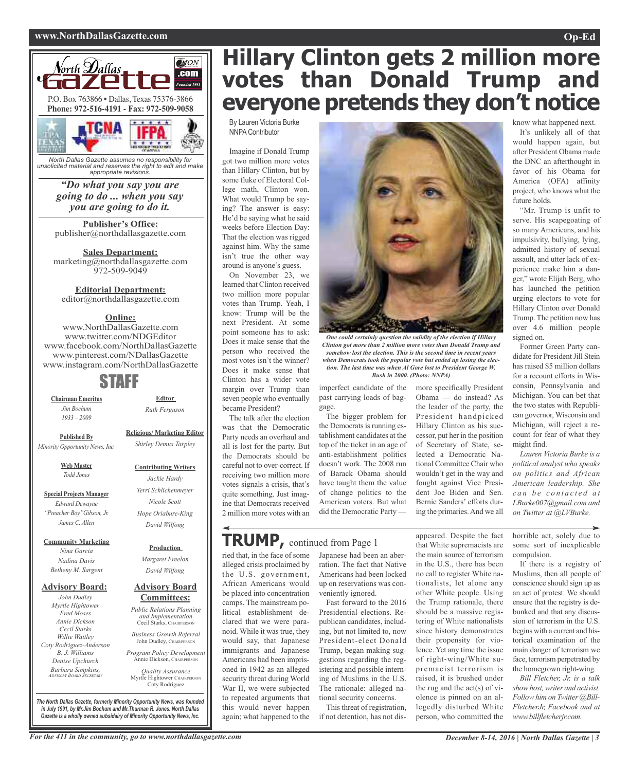#### **www.NorthDallasGazette.com Op-Ed**



*North Dallas Gazette assumes no responsibility for unsolicited material and reserves the right to edit and make appropriate revisions.*

> *"Do what you say you are going to do ... when you say you are going to do it.*

**Publisher's Office:** publisher@northdallasgazette.com

**Sales Department:** marketing@northdallasgazette.com 972-509-9049

### **Editorial Department:**

editor@northdallasgazette.com

### **Online:**

www.NorthDallasGazette.com www.twitter.com/NDGEditor www.facebook.com/NorthDallasGazette www.pinterest.com/NDallasGazette www.instagram.com/NorthDallasGazette

### STAFF

**Chairman Emeritus** *Jim Bochum 1933 – 2009*

> **Religious/ Marketing Editor** *Shirley Demus Tarpley*

> > **Contributing Writers** *Jackie Hardy Terri Schlichenmeyer Nicole Scott Hope Oriabure-King David Wilfong*

**Editor** *Ruth Ferguson*

**Published By** *Minority Opportunity News, Inc.*

> **Web Master** *Todd Jones*

**Special Projects Manager** *Edward Dewayne "Preacher Boy"Gibson, Jr. James C. Allen*

#### **Community Marketing**

*Nina Garcia Nadina Davis Betheny M. Sargent*

#### **Advisory Board:**

*John Dudley Myrtle Hightower Fred Moses Annie Dickson Cecil Starks Willie Wattley Coty Rodriguez-Anderson B. J. Williams Denise Upchurch Barbara Simpkins, ADVISORY BOARD SECRETARY*

**Advisory Board Committees:** *Public Relations Planning and Implementation*

**Production** *Margaret Freelon David Wilfong*

Cecil Starks, CHAIRPERSON *Business Growth Referral* John Dudley, CHAIRPERSO

*Program Policy Development* Annie Dickson, CHAIRPER

Myrtle Hightower, CHAIRPERSON Coty Rodriguez

*Quality Assurance*

**Hillary Clinton gets 2 million more votes than Donald Trump and everyone pretends they don't notice**

By Lauren Victoria Burke NNPA Contributor

Imagine if Donald Trump got two million more votes than Hillary Clinton, but by some fluke of Electoral College math, Clinton won. What would Trump be saying? The answer is easy: He'd be saying what he said weeks before Election Day: That the election was rigged against him. Why the same isn't true the other way around is anyone's guess.

On November 23, we learned that Clinton received two million more popular votes than Trump. Yeah, I know: Trump will be the next President. At some point someone has to ask: Does it make sense that the person who received the most votes isn't the winner? Does it make sense that Clinton has a wider vote margin over Trump than seven people who eventually became President?

The talk after the election was that the Democratic Party needs an overhaul and all is lost for the party. But the Democrats should be careful not to over-correct. If receiving two million more votes signals a crisis, that's quite something. Just imagine that Democrats received 2 million more votes with an

## **TRUMP,** continued from Page <sup>1</sup>

ried that, in the face of some alleged crisis proclaimed by the U.S. government, African Americans would be placed into concentration camps. The mainstream political establishment declared that we were paranoid. While it was true, they would say, that Japanese immigrants and Japanese Americans had been imprisoned in 1942 as an alleged security threat during World War II, we were subjected to repeated arguments that this would never happen again; what happened to the

Japanese had been an aberration. The fact that Native Americans had been locked up on reservations was con-

Presidential elections. Republican candidates, including, but not limited to, now President-elect Donald Trump, began making suggestions regarding the registering and possible interning of Muslims in the U.S. The rationale: alleged national security concerns.

if not detention, has not dis-

know what happened next.

It's unlikely all of that would happen again, but after President Obama made the DNC an afterthought in favor of his Obama for America (OFA) affinity project, who knows what the future holds.

"Mr. Trump is unfit to serve. His scapegoating of so many Americans, and his impulsivity, bullying, lying, admitted history of sexual assault, and utter lack of experience make him a danger," wrote Elijah Berg, who has launched the petition urging electors to vote for Hillary Clinton over Donald Trump. The petition now has over 4.6 million people signed on.

Former Green Party candidate for President Jill Stein has raised \$5 million dollars for a recount efforts in Wisconsin, Pennsylvania and Michigan. You can bet that the two states with Republican governor, Wisconsin and Michigan, will reject a recount for fear of what they might find.

*Lauren Victoria Burke is a political analyst who speaks on politics and African American leadership. She c a n b e c o n t a c t e d a t LBurke007@gmail.com and on Twitter at @LVBurke.*

horrible act, solely due to some sort of inexplicable compulsion.

If there is a registry of Muslims, then all people of conscience should sign up as an act of protest. We should ensure that the registry is debunked and that any discussion of terrorism in the U.S. begins with a current and historical examination of the main danger of terrorism we face, terrorism perpetrated by the homegrown right-wing.

*Bill Fletcher, Jr. is a talk showhost,writer and activist. Followhim on Twitter @Bill-FletcherJr, Facebook and at www.billfletcherjr.com.*

*The North Dallas Gazette, formerly Minority Opportunity News, was founded in July 1991, by Mr.Jim Bochum and Mr.Thurman R. Jones. North Dallas Gazette is a wholly owned subsidairy of Minority Opportunity News, Inc.*



*Clinton got more than 2 million more votes than Donald Trump and somehow lost the election. This is the second time in recent years*

imperfect candidate of the more specifically President Obama — do instead? As *when Democrats took the popular vote but ended up losing the election. The last time was when Al Gore lost to President George W. Bush in 2000. (Photo: NNPA)*

past carrying loads of baggage. The bigger problem for

the Democrats is running establishment candidates at the top of the ticket in an age of anti-establishment politics doesn't work. The 2008 run of Barack Obama should have taught them the value of change politics to the American voters. But what did the Democratic Party —

Fast forward to the 2016

This threat of registration,

cessor, put her in the position of Secretary of State, selected a Democratic National Committee Chair who wouldn't get in the way and fought against Vice President Joe Biden and Sen. Bernie Sanders' efforts during the primaries.And we all

the leader of the party, the President handpicked Hillary Clinton as his suc-

appeared. Despite the fact that White supremacists are the main source of terrorism in the U.S., there has been no call to register White nationalists, let alone any

person, who committed the

veniently ignored.

other White people. Using the Trump rationale, there should be a massive registering of White nationalists since history demonstrates their propensity for violence. Yet any time the issue of right-wing/White supremacist terrorism is raised, it is brushed under the rug and the act(s) of violence is pinned on an allegedly disturbed White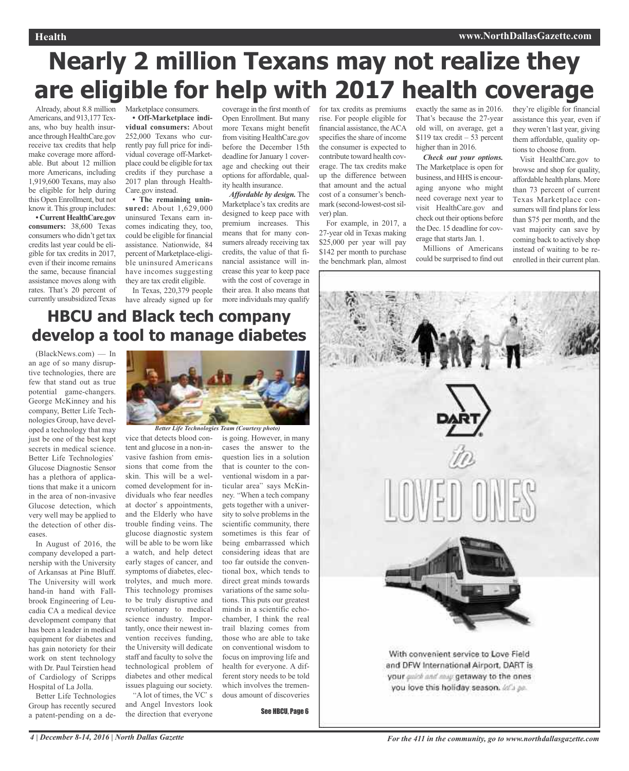# **Nearly 2 million Texans may not realize they are eligible for help with 2017 health coverage**

Already, about 8.8 million Americans, and 913,177 Texans, who buy health insurance through HealthCare.gov receive tax credits that help make coverage more affordable. But about 12 million more Americans, including 1,919,600 Texans, may also be eligible for help during this Open Enrollment, but not know it. This group includes:

• Current HealthCare.gov **consumers:** 38,600 Texas consumers who didn't get tax credits last year could be eligible for tax credits in 2017, even if their income remains the same, because financial assistance moves along with rates. That's 20 percent of currently unsubsidized Texas Marketplace consumers. **• Off-Marketplace individual consumers:** About 252,000 Texans who currently pay full price for individual coverage off-Marketplace could be eligible for tax credits if they purchase a

2017 plan through Health-Care.gov instead. **• The remaining uninsured:** About 1,629,000 uninsured Texans earn incomes indicating they, too, could be eligible for financial assistance. Nationwide, 84 percent of Marketplace-eligible uninsured Americans have incomes suggesting they are tax credit eligible.

In Texas, 220,379 people have already signed up for

coverage in the first month of Open Enrollment. But many more Texans might benefit from visiting HealthCare.gov before the December 15th deadline for January 1 coverage and checking out their options for affordable, quality health insurance.

*Affordable by design.* The Marketplace's tax credits are designed to keep pace with premium increases. This means that for many consumers already receiving tax credits, the value of that financial assistance will increase this year to keep pace with the cost of coverage in their area. It also means that more individuals may qualify

for tax credits as premiums rise. For people eligible for financial assistance, theACA specifies the share of income the consumer is expected to contribute toward health coverage. The tax credits make up the difference between that amount and the actual cost of a consumer's benchmark (second-lowest-costsilver) plan.

For example, in 2017, a 27-year old in Texas making \$25,000 per year will pay \$142 per month to purchase the benchmark plan, almost

exactly the same as in 2016. That's because the 27-year old will, on average, get a \$119 tax credit – 53 percent higher than in 2016.

*Check out your options.* The Marketplace is open for business, and HHS is encouraging anyone who might need coverage next year to visit HealthCare.gov and check out their options before the Dec. 15 deadline for coverage that starts Jan. 1.

Millions of Americans could be surprised to find out they're eligible for financial assistance this year, even if they weren't last year, giving them affordable, quality options to choose from.

Visit HealthCare.gov to browse and shop for quality, affordable health plans. More than 73 percent of current Texas Marketplace consumers will find plans for less than \$75 per month, and the vast majority can save by coming back to actively shop instead of waiting to be reenrolled in their current plan.

## **HBCU and Black tech company develop a tool to manage diabetes**

(BlackNews.com) — In an age of so many disruptive technologies, there are few that stand out as true potential game-changers. George McKinney and his company, Better Life Technologies Group, have developed a technology that may just be one of the best kept secrets in medical science. Better Life Technologies Glucose Diagnostic Sensor has a plethora of applications that make it a unicorn in the area of non-invasive Glucose detection, which very well may be applied to the detection of other diseases.

In August of 2016, the company developed a partnership with the University of Arkansas at Pine Bluff. The University will work hand-in hand with Fallbrook Engineering of Leucadia CA a medical device development company that has been a leader in medical equipment for diabetes and has gain notoriety for their work on stent technology with Dr. Paul Teirstien head of Cardiology of Scripps Hospital of La Jolla.

Better Life Technologies Group has recently secured a patent-pending on a de-



*Better Life Technologies Team (Courtesy photo)*

tent and glucose in a non-invasive fashion from emissions that come from the skin. This will be a welcomed development for individuals who fear needles at doctor's appointments, and the Elderly who have trouble finding veins. The glucose diagnostic system will be able to be worn like a watch, and help detect early stages of cancer, and symptoms of diabetes, electrolytes, and much more. This technology promises to be truly disruptive and revolutionary to medical science industry. Importantly, once their newest invention receives funding, the University will dedicate staff and faculty to solve the technological problem of diabetes and other medical issues plaguing our society.

"A lot of times, the VC's and Angel Investors look the direction that everyone

vice that detects blood con-is going. However, in many cases the answer to the question lies in a solution that is counter to the conventional wisdom in a particular area" says McKinney. When a tech company gets together with a university to solve problems in the scientific community, there sometimes is this fear of being embarrassed which considering ideas that are too far outside the conventional box, which tends to direct great minds towards variations of the same solutions. This puts our greatest minds in a scientific echochamber, I think the real trail blazing comes from those who are able to take on conventional wisdom to focus on improving life and health for everyone. A different story needs to be told which involves the tremendous amount of discoveries

See HBCU, Page 6



and DFW International Airport, DART is your anick and may get way to the ones you love this holiday season. Id's ge-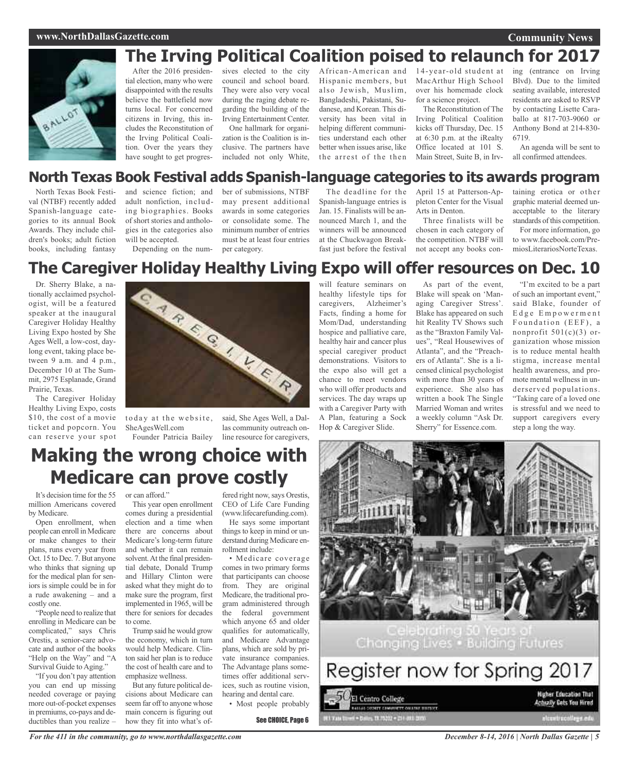## **The Irving Political Coalition poised to relaunch for 2017**



After the 2016 presidential election, many who were disappointed with the results believe the battlefield now turns local. For concerned citizens in Irving, this includes the Reconstitution of the Irving Political Coalition. Over the years they have sought to get progres-

sives elected to the city council and school board. They were also very vocal during the raging debate regarding the building of the Irving Entertainment Center.

One hallmark for organization is the Coalition is inclusive. The partners have included not only White,

African-American and Hispanic members, but also Jewish, Muslim, Bangladeshi, Pakistani, Sudanese, and Korean. This diversity has been vital in helping different communities understand each other better when issues arise, like the arrest of the then 14-year-old student at MacArthur High School over his homemade clock for a science project.

The Reconstitution of The Irving Political Coalition kicks off Thursday, Dec. 15 at 6:30 p.m. at the iRealty Office located at 101 S. Main Street, Suite B, in Irving (entrance on Irving Blvd). Due to the limited seating available, interested residents are asked to RSVP by contacting Lisette Caraballo at 817-703-9060 or Anthony Bond at 214-830- 6719.

An agenda will be sent to all confirmed attendees.

### **North Texas Book Festival adds Spanish-language categories to its awards program**

North Texas Book Festival (NTBF) recently added Spanish-language categories to its annual Book Awards. They include children's books; adult fiction books, including fantasy

and science fiction; and adult nonfiction, including biographies. Books of short stories and anthologies in the categories also will be accepted.

Depending on the num-

awards in some categories or consolidate some. The minimum number of entries must be at least four entries per category.

ber of submissions, NTBF may present additional

The deadline for the Spanish-language entries is Jan. 15. Finalists will be announced March 1, and the winners will be announced at the Chuckwagon Breakfast just before the festival

April 15 at Patterson-Appleton Center for the Visual Arts in Denton.

Three finalists will be chosen in each category of the competition. NTBF will not accept any books containing erotica or other graphic material deemed unacceptable to the literary standards of this competition.

For more information, go to www.facebook.com/PremiosLiterariosNorteTexas.

### **The Caregiver Holiday Healthy Living Expo will offer resources on Dec. 10**

Dr. Sherry Blake, a nationally acclaimed psychologist, will be a featured speaker at the inaugural Caregiver Holiday Healthy Living Expo hosted by She Ages Well, a low-cost, daylong event, taking place between 9 a.m. and 4 p.m., December 10 at The Summit, 2975 Esplanade, Grand Prairie, Texas.

The Caregiver Holiday Healthy Living Expo, costs \$10, the cost of a movie ticket and popcorn. You can reserve your spot

to day at the website, SheAgesWell.com Founder Patricia Bailey

said, She Ages Well, a Dallas community outreach online resource for caregivers, will feature seminars on healthy lifestyle tips for caregivers, Alzheimer's Facts, finding a home for Mom/Dad, understanding hospice and palliative care, healthy hair and cancer plus special caregiver product demonstrations. Visitors to the expo also will get a chance to meet vendors who will offer products and services. The day wraps up with a Caregiver Party with A Plan, featuring a Sock Hop & Caregiver Slide.

As part of the event, Blake will speak on 'Managing Caregiver Stress'. Blake has appeared on such hit Reality TV Shows such as the "Braxton Family Values", "Real Housewives of Atlanta", and the "Preachers of Atlanta". She is a licensed clinical psychologist with more than 30 years of experience. She also has written a book The Single Married Woman and writes a weekly column "Ask Dr. Sherry" for Essence.com.

"I'm excited to be a part of such an important event," said Blake, founder of Edge Empowerment Foundation (EEF), a nonprofit  $501(c)(3)$  organization whose mission is to reduce mental health stigma, increase mental health awareness, and promote mental wellness in underserved populations. "Taking care of a loved one is stressful and we need to support caregivers every step a long the way.

Changing Lives . Building Futures

Register now for Spring 2017 **Higher Education That** El Centro College **Actually Gets You Hired** BALLAS COMPT ENMINISTY ORANG BISTICE 01 Vals town + Bakes 13.75232 + 21 = 803. 9100 étremi positege.

## **Making the wrong choice with Medicare can prove costly**

It's decision time forthe 55 million Americans covered by Medicare.

Open enrollment, when people can enroll in Medicare or make changes to their plans, runs every year from Oct. 15 to Dec. 7.But anyone who thinks that signing up for the medical plan for seniors is simple could be in for a rude awakening – and a costly one.

"People need to realize that enrolling in Medicare can be complicated," says Chris Orestis, a senior-care advocate and author of the books "Help on the Way" and "A Survival Guide to Aging."

"If you don't pay attention you can end up missing needed coverage or paying more out-of-pocket expenses in premiums, co-pays and deductibles than you realize –

or can afford." This year open enrollment

comes during a presidential election and a time when there are concerns about Medicare's long-term future and whether it can remain solvent.At the final presidential debate, Donald Trump and Hillary Clinton were asked what they might do to make sure the program, first implemented in 1965, will be there for seniors for decades to come.

Trump said he would grow the economy, which in turn would help Medicare. Clinton said her plan is to reduce the cost of health care and to emphasize wellness.

But any future political decisions about Medicare can seem far off to anyone whose main concern is figuring out how they fit into what's of-

*For the 411 in the community, go to www.northdallasgazette.com*

fered right now, says Orestis, CEO of Life Care Funding (www.lifecarefunding.com).

He says some important things to keep in mind or understand during Medicare enrollment include:

• Medicare coverage comes in two primary forms that participants can choose from. They are original Medicare, the traditional program administered through the federal government which anyone 65 and older qualifies for automatically, and Medicare Advantage plans, which are sold by private insurance companies. The Advantage plans sometimes offer additional services, such as routine vision, hearing and dental care.

• Most people probably

See CHOICE, Page 6

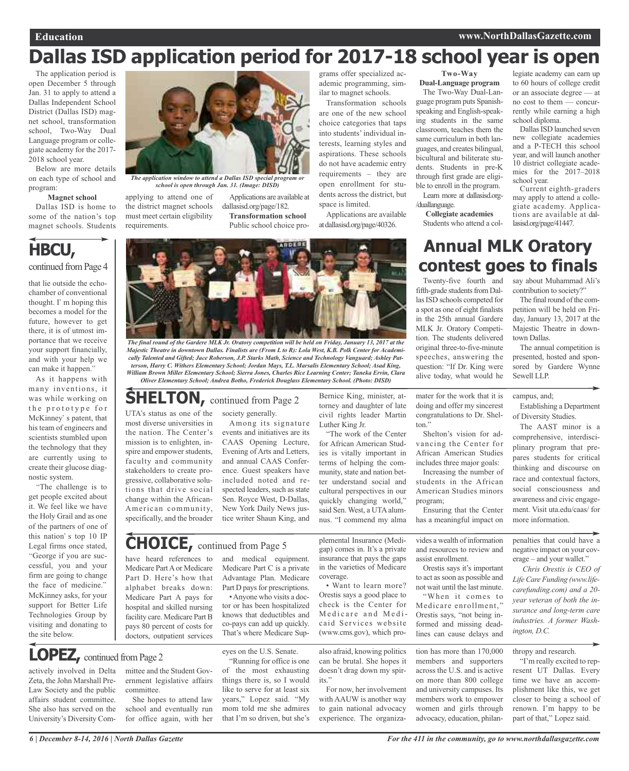# **Dallas ISD application period for 2017-18 school year is open**

The application period is open December 5 through Jan. 31 to apply to attend a Dallas Independent School District (Dallas ISD) magnet school, transformation school, Two-Way Dual Language program or collegiate academy for the 2017- 2018 school year.

Below are more details on each type of school and program:

#### **Magnet school**

Dallas ISD is home to some of the nation's top magnet schools. Students

## **HBCU,**

continued from Page 4

that lie outside the echochamber of conventional thought.  $\Gamma$  m hoping this becomes a model for the future, however to get there, it is of utmost importance that we receive your support financially, and with your help we can make it happen.

As it happens with many inventions, it was while working on the prototype for McKinney's patent, that his team of engineers and scientists stumbled upon the technology that they are currently using to create their glucose diagnostic system.

"The challenge is to get people excited about it. We feel like we have the Holy Grail and as one of the partners of one of this nation's top 10 IP Legal firms once stated, George if you are successful, you and your firm are going to change the face of medicine. McKinney asks, for your support for Better Life Technologies Group by visiting and donating to the site below.



*school is open through Jan. 31. (Image: DISD)*

applying to attend one of the district magnet schools must meet certain eligibility requirements.

Applications are available at dallasisd.org/page/182. **Transformation school** Public school choice pro-

grams offer specialized academic programming, similar to magnet schools.

Transformation schools are one of the new school choice categories that taps into students' individual interests, learning styles and aspirations. These schools do not have academic entry requirements – they are open enrollment for students across the district, but space is limited.

Applications are available atdallasisd.org/page/40326.

**Two-Way**

**Dual-Language program** The Two-Way Dual-Language program puts Spanishspeaking and English-speaking students in the same classroom, teaches them the same curriculum in both languages, and creates bilingual, bicultural and biliterate students. Students in pre-K through first grade are eligible to enroll in the program.

Learn more at dallasisd.org- /duallanguage. **Collegiate academies**

Students who attend a col-

legiate academy can earn up to 60 hours of college credit or an associate degree — at no cost to them — concurrently while earning a high school diploma.

Dallas ISD launched seven new collegiate academies and a P-TECH this school year, and will launch another 10 district collegiate academies for the 2017–2018 school year.

Current eighth-graders may apply to attend a collegiate academy. Applications are available at dallasisd.org/page/41447.

say about Muhammad Ali's contribution to society?" The final round of the competition will be held on Friday, January 13, 2017 at the Majestic Theatre in down-

### **Annual MLK Oratory contest goes to finals**

Twenty-five fourth and fifth-grade students from DallasISD schools competed for a spot as one of eight finalists in the 25th annual Gardere MLK Jr. Oratory Competition. The students delivered original three-to-five-minute speeches, answering the question: "If Dr. King were alive today, what would he

mater for the work that it is doing and offer my sincerest congratulations to Dr. Shelton."

Shelton's vision for advancing the Center for African American Studies includes three major goals:

Increasing the number of students in the African American Studies minors program;

Ensuring that the Center has a meaningful impact on

penalties that could have a negative impact on your covmore information.

Establishing a Department

The annual competition is presented, hosted and sponsored by Gardere Wynne

The AAST minor is a comprehensive, interdisciplinary program that prepares students for critical thinking and discourse on race and contextual factors, social consciousness and awareness and civic engagement. Visit uta.edu/caas/ for

campus, and;

Sewell LLP.

town Dallas.

of Diversity Studies.

erage – and your wallet." *Chris Orestis is CEO of LifeCare Funding (www.lifecarefunding.com) and a 20 year veteran of both the insurance and long-term care industries. A former Washington, D.C.*

### thropy and research.

"I'm really excited to represent UT Dallas. Every time we have an accomplishment like this, we get closer to being a school of renown. I'm happy to be part of that," Lopez said.

have heard references to Medicare Part A or Medicare **CHOICE,** continued from Page <sup>5</sup> Sen. Royce West, D-Dallas, New York Daily News justice writer Shaun King, and

Part D. Here's how that alphabet breaks down: Medicare Part A pays for hospital and skilled nursing facility care. Medicare Part B pays 80 percent of costs for doctors, outpatient services

LOPEZ, continued from Page 2

actively involved in Delta Zeta, the John Marshall Pre-Law Society and the public affairs student committee. She also has served on the University's Diversity Com-

mittee and the Student Government legislative affairs committee.

She hopes to attend law school and eventually run for office again, with her and medical equipment. Medicare Part C is a private Advantage Plan. Medicare Part D pays for prescriptions.

•Anyone who visits a doctor or has been hospitalized knows that deductibles and co-pays can add up quickly. That's where Medicare Sup-

eyes on the U.S. Senate.

"Running for office is one of the most exhausting things there is, so I would like to serve for at least six years," Lopez said. "My mom told me she admires that I'm so driven, but she's

plemental Insurance (Medigap) comes in. It's a private insurance that pays the gaps in the varieties of Medicare coverage.

Bernice King, minister, attorney and daughter of late civil rights leader Martin

"The work of the Center for African American Studies is vitally important in terms of helping the community, state and nation better understand social and cultural perspectives in our quickly changing world," said Sen. West, a UTA alumnus. "I commend my alma

Luther King Jr.

• Want to learn more? Orestis says a good place to check is the Center for Medicare and Medicaid Services website (www.cms.gov), which pro-

also afraid, knowing politics can be brutal. She hopes it doesn't drag down my spirits."

For now, her involvement with AAUW is another way to gain national advocacy experience. The organizavides a wealth of information and resources to review and assist enrollment. Orestis says it's important

to act as soon as possible and not wait until the last minute. "When it comes to Medicare enrollment," Orestis says, "not being in-

formed and missing deadlines can cause delays and

tion has more than 170,000 members and supporters across the U.S. and is active on more than 800 college and university campuses. Its members work to empower women and girls through advocacy, education, philan-

*6 | December 8-14, 2016 | North Dallas Gazette*



Majestic Theatre in downtown Dallas. Finalists are (From L to R): Lola West, K.B. Polk Center for Academi*cally Talented and Gifted; Jace Roberson, J.P. Starks Math, Science and Technology Vanguard; Ashley Patterson, Harry C. Withers Elementary School; Jordan Mays, T.L. Marsalis Elementary School; Asad King, William Brown Miller Elementary School; Sierra Jones, Charles Rice Learning Center; Taneka Ervin, Clara Oliver Elementary School; Andrea Botho, Frederick Douglass Elementary School. (Photo: DISD)*

Among its signature events and initiatives are its CAAS Opening Lecture, Evening of Arts and Letters, and annual CAAS Conference. Guest speakers have included noted and respected leaders, such as state

#### UTA's status as one of the society generally. **SHELTON, continued from Page 2**

most diverse universities in the nation. The Center's mission is to enlighten, inspire and empower students, faculty and community stakeholders to create progressive, collaborative solutions that drive social change within the African-American community, specifically, and the broader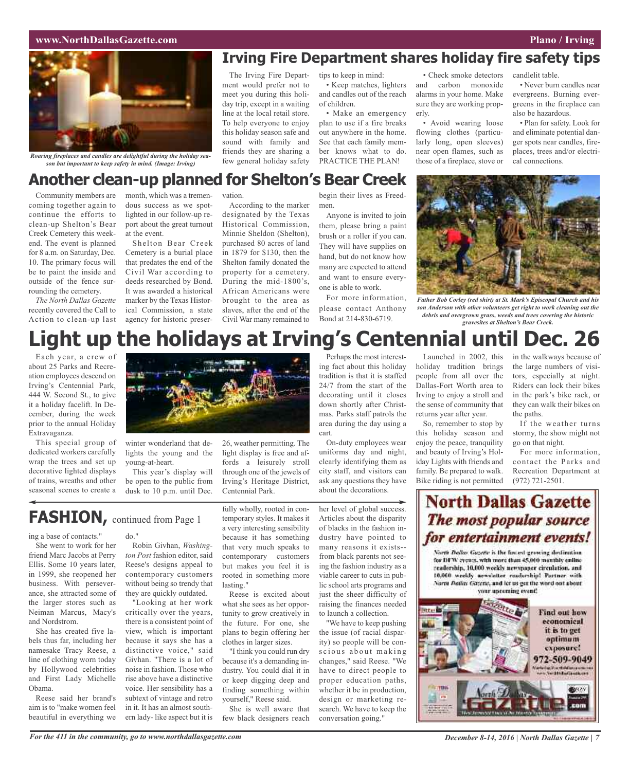### **www.NorthDallasGazette.com Plano / Irving**



*Roaring fireplaces and candles are delightful during the holiday sea-*<br>
son but important to keep safety *in mind* (Image: Irvino)<br>
few general holiday safety PRACTICE THE PLAN! those of a fireplace, stove or cal connecti *son but important to keep safety in mind. (Image: Irving)*

### **Irving Fire Department shares holiday fire safety tips**

The Irving Fire Department would prefer not to meet you during this holiday trip, except in a waiting line at the local retail store. To help everyone to enjoy this holiday season safe and sound with family and friends they are sharing a few general holiday safety

### tips to keep in mind:

• Keep matches, lighters and candles out of the reach of children. • Make an emergency

plan to use if a fire breaks out anywhere in the home. See that each family member knows what to do. PRACTICE THE PLAN!

• Check smoke detectors and carbon monoxide alarms in your home. Make sure they are working properly.

• Avoid wearing loose flowing clothes (particularly long, open sleeves) near open flames, such as those of a fireplace, stove or

candlelit table.

• Never burn candles near evergreens. Burning evergreens in the fireplace can also be hazardous.

• Plan for safety. Look for and eliminate potential danger spots near candles, fireplaces, trees and/or electri-

### **Another clean-up planned for Shelton's Bear Creek**

Community members are coming together again to continue the efforts to clean-up Shelton's Bear Creek Cemetery this weekend. The event is planned for 8 a.m. on Saturday, Dec. 10. The primary focus will be to paint the inside and outside of the fence surrounding the cemetery.

*The North Dallas Gazette* recently covered the Call to Action to clean-up last

month, which was a tremendous success as we spotlighted in our follow-up report about the great turnout at the event.

Shelton Bear Creek Cemetery is a burial place that predates the end of the Civil War according to deeds researched by Bond. It was awarded a historical marker by the Texas Historical Commission, a state agency for historic preservation.

According to the marker designated by the Texas Historical Commission, Minnie Sheldon (Shelton), purchased 80 acres of land in 1879 for \$130, then the Shelton family donated the property for a cemetery. During the mid-1800's, African Americans were brought to the area as slaves, after the end of the Civil War many remained to

begin their lives as Freedmen.

Anyone is invited to join them, please bring a paint brush or a roller if you can. They will have supplies on hand, but do not know how many are expected to attend and want to ensure everyone is able to work.

For more information, please contact Anthony Bond at 214-830-6719.



*Father Bob Corley (red shirt) at St. Mark's Episcopal Church and his son Anderson with other volunteers get right to work cleaning out the debris and overgrown grass, weeds and trees covering the historic gravesites at Shelton's Bear Creek.*

## **Light up the holidays at Irving's Centennial until Dec. 26**

Each year, a crew of about 25 Parks and Recreation employees descend on Irving's Centennial Park, 444 W. Second St., to give it a holiday facelift. In December, during the week prior to the annual Holiday Extravaganza.

This special group of dedicated workers carefully wrap the trees and set up decorative lighted displays of trains, wreaths and other seasonal scenes to create a



winter wonderland that delights the young and the young-at-heart.

This year's display will be open to the public from dusk to 10 p.m. until Dec.

### **FASHION,** continued from Page <sup>1</sup>

ing a base of contacts."

She went to work for her friend Marc Jacobs at Perry Ellis. Some 10 years later, in 1999, she reopened her business. With perseverance, she attracted some of the larger stores such as Neiman Marcus, Macy's and Nordstrom.

She has created five labels thus far, including her namesake Tracy Reese, a line of clothing worn today by Hollywood celebrities and First Lady Michelle Obama.

Reese said her brand's aim is to "make women feel beautiful in everything we

do." Robin Givhan, *Washington Post* fashion editor, said Reese's designs appeal to

contemporary customers without being so trendy that they are quickly outdated. "Looking at her work

critically over the years, there is a consistent point of view, which is important because it says she has a distinctive voice," said Givhan. "There is a lot of noise in fashion. Those who rise above have a distinctive voice. Her sensibility has a subtext of vintage and retro in it. It has an almost southern lady- like aspect but it is

because it has something that very much speaks to contemporary customers but makes you feel it is rooted in something more lasting."

Reese is excited about what she sees as her opportunity to grow creatively in the future. For one, she plans to begin offering her clothes in larger sizes.

"I think you could run dry because it's a demanding industry. You could dial it in or keep digging deep and finding something within yourself," Reese said. She is well aware that

few black designers reach

Perhaps the most interesting fact about this holiday tradition is that it is staffed 24/7 from the start of the decorating until it closes down shortly after Christmas. Parks staff patrols the area during the day using a cart.

On-duty employees wear uniforms day and night, clearly identifying them as city staff, and visitors can ask any questions they have about the decorations.

Launched in 2002, this holiday tradition brings people from all over the Dallas-Fort Worth area to Irving to enjoy a stroll and the sense of community that returns year after year.

So, remember to stop by this holiday season and enjoy the peace, tranquility and beauty of Irving's Holiday Lights with friends and family. Be prepared to walk. Bike riding is not permitted in the walkways because of the large numbers of visitors, especially at night. Riders can lock their bikes in the park's bike rack, or they can walk their bikes on the paths.

If the weather turns stormy, the show might not go on that night.

For more information, contact the Parks and Recreation Department at (972) 721-2501.



### For the 411 in the community, go to www.northdallasgazette.com December 8-14, 2016 | North Dallas Gazette | 7

### 26, weather permitting. The light display is free and affords a leisurely stroll through one of the jewels of Irving's Heritage District, Centennial Park. fully wholly, rooted in contemporary styles. It makes it a very interesting sensibility

her level of global success. Articles about the disparity of blacks in the fashion industry have pointed to

many reasons it exists- from black parents not seeing the fashion industry as a viable career to cuts in public school arts programs and just the sheer difficulty of raising the finances needed to launch a collection.

"We have to keep pushing the issue (of racial disparity) so people will be conscious about making changes," said Reese. "We have to direct people to proper education paths, whether it be in production, design or marketing research. We have to keep the conversation going."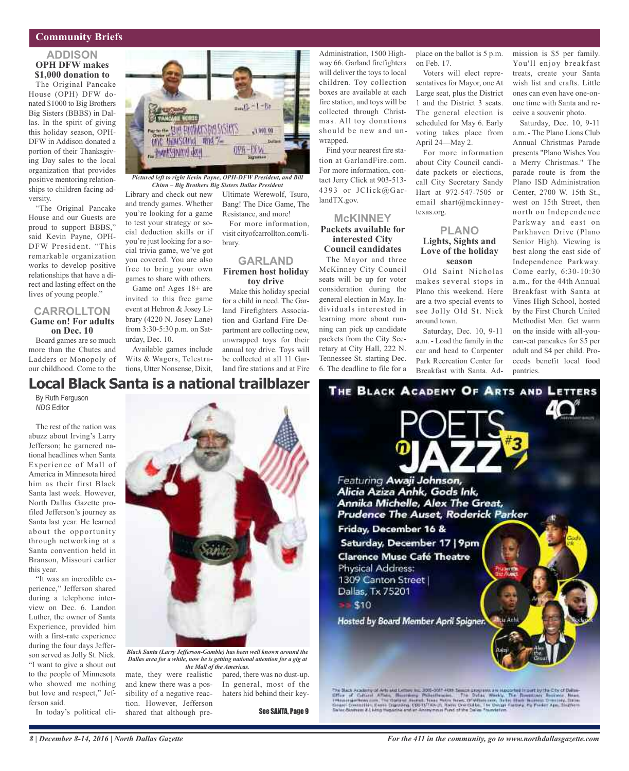### **Community Briefs**

### **ADDISON OPH DFW makes \$1,000 donation to**

The Original Pancake House (OPH) DFW donated \$1000 to Big Brothers Big Sisters (BBBS) in Dallas. In the spirit of giving this holiday season, OPH-DFW in Addison donated a portion of their Thanksgiving Day sales to the local organization that provides positive mentoring relationships to children facing adversity.

"The Original Pancake House and our Guests are proud to support BBBS," said Kevin Payne, OPH-DFW President. "This remarkable organization works to develop positive relationships that have a direct and lasting effect on the lives of young people."

#### **CARROLLTON Game on! For adults on Dec. 10**

Board games are so much more than the Chutes and Ladders or Monopoly of our childhood. Come to the



*Pictured left to right Kevin Payne, OPH-DFW President, and Bill*

Library and check out new and trendy games. Whether you're looking for a game to test your strategy or social deduction skills or if you're just looking for a social trivia game, we've got you covered. You are also free to bring your own games to share with others.

Game on! Ages 18+ are invited to this free game event at Hebron & Josey Library (4220 N. Josey Lane) from 3:30-5:30 p.m. on Saturday, Dec. 10.

Available games include Wits & Wagers, Telestrations, Utter Nonsense, Dixit,

#### Ultimate Werewolf, Tsuro, Bang! The Dice Game, The Resistance, and more! *Chinn – Big Brothers Big Sisters Dallas President*

For more information, visit cityofcarrollton.com/library.

### **GARLAND Firemen host holiday toy drive**

Make this holiday special for a child in need. The Garland Firefighters Association and Garland Fire Department are collecting new, unwrapped toys for their annual toy drive. Toys will be collected at all 11 Garland fire stations and at Fire

Administration, 1500 Highway 66. Garland firefighters will deliver the toys to local children. Toy collection boxes are available at each fire station, and toys will be collected through Christmas. All toy donations should be new and unwrapped.

Find your nearest fire station at GarlandFire.com. For more information, contact Jerry Click at 903-513- 4393 or JClick@GarlandTX.gov.

### **McKINNEY Packets available for interested City Council candidates**

The Mayor and three McKinney City Council seats will be up for voter consideration during the general election in May. Individuals interested in learning more about running can pick up candidate packets from the City Secretary at City Hall, 222 N. Tennessee St. starting Dec. 6. The deadline to file for a

place on the ballot is 5 p.m. on Feb. 17.

Voters will elect representatives for Mayor, one At Large seat, plus the District 1 and the District 3 seats. The general election is scheduled for May 6. Early voting takes place from April 24—May 2.

For more information about City Council candidate packets or elections, call City Secretary Sandy Hart at 972-547-7505 or email shart@mckinneytexas.org.

#### **PLANO Lights, Sights and Love of the holiday season**

Old Saint Nicholas makes several stops in Plano this weekend. Here are a two special events to see Jolly Old St. Nick around town.

Saturday, Dec. 10, 9-11 a.m. - Load the family in the car and head to Carpenter Park Recreation Center for Breakfast with Santa. Admission is \$5 per family. You'll enjoy breakfast treats, create your Santa wish list and crafts. Little ones can even have one-onone time with Santa and receive a souvenir photo.

Saturday, Dec. 10, 9-11 a.m. - The Plano Lions Club Annual Christmas Parade presents "Plano Wishes You a Merry Christmas." The parade route is from the Plano ISD Administration Center, 2700 W. 15th St., west on 15th Street, then north on Independence Parkway and east on Parkhaven Drive (Plano Senior High). Viewing is best along the east side of Independence Parkway. Come early, 6:30-10:30 a.m., for the 44th Annual Breakfast with Santa at Vines High School, hosted by the First Church United Methodist Men. Get warm on the inside with all-youcan-eat pancakes for \$5 per adult and \$4 per child. Proceeds benefit local food pantries.

### **Local Black Santa is a national trailblazer**

By Ruth Ferguson *NDG* Editor

The rest of the nation was abuzz about Irving's Larry Jefferson; he garnered national headlines when Santa Experience of Mall of America in Minnesota hired him as their first Black Santa last week. However, North Dallas Gazette profiled Jefferson's journey as Santa last year. He learned about the opportunity through networking at a Santa convention held in Branson, Missouri earlier this year.

"It was an incredible experience," Jefferson shared during a telephone interview on Dec. 6. Landon Luther, the owner of Santa Experience, provided him with a first-rate experience during the four days Jefferson served as Jolly St. Nick. "I want to give a shout out to the people of Minnesota who showed me nothing but love and respect," Jefferson said.

In today's political cli-



*Dallas area for a while, now he is getting national attention for a gig at the Mall of the Americas.*

mate, they were realistic and knew there was a possibility of a negative reaction. However, Jefferson shared that although pre-

pared, there was no dust-up. In general, most of the haters hid behind their key-

See SANTA, Page 9

### THE BLACK ACADEMY OF ARTS AND LETTERS



Friday, December 16 &

Saturday, December 17 | 9pm **Clarence Muse Café Theatre** Physical Address: 1309 Canton Street

Dallas, Tx 75201  $330$ 

Hosted by Board Member April Spigner. Have

The Real conducts of Arts and Letters by 2001-2027 AMS Service angulars are interacted in part by the City of Define<br>After After Alberta Albert, Mussilian Philad Expansion. The Define Workly, The Reasonance Mussics, News,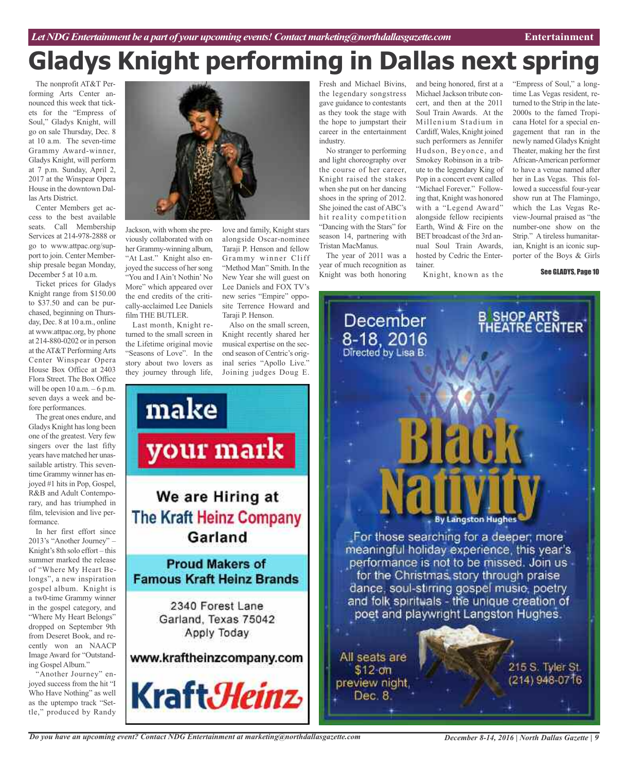# **Gladys Knight performing in Dallas next spring**

The nonprofit AT&T Performing Arts Center announced this week that tickets for the "Empress of Soul," Gladys Knight, will go on sale Thursday, Dec. 8 at 10 a.m. The seven-time Grammy Award-winner, Gladys Knight, will perform at 7 p.m. Sunday, April 2, 2017 at the Winspear Opera House in the downtown Dallas Arts District.

Center Members get access to the best available seats. Call Membership Services at 214-978-2888 or go to www.attpac.org/support to join. Center Membership presale began Monday, December 5 at 10 a.m.

Ticket prices for Gladys Knight range from \$150.00 to \$37.50 and can be purchased, beginning on Thursday, Dec. 8 at 10 a.m., online at www.attpac.org, by phone at 214-880-0202 or in person at theAT&T PerformingArts Center Winspear Opera House Box Office at 2403 Flora Street. The Box Office will be open  $10$  a.m.  $-6$  p.m. seven days a week and before performances.

The great ones endure, and Gladys Knight haslong been one of the greatest. Very few singers over the last fifty years have matched her unassailable artistry. This seventime Grammy winner has enjoyed #1 hits in Pop, Gospel, R&B and Adult Contemporary, and has triumphed in film, television and live performance.

In her first effort since 2013's "Another Journey" – Knight's 8th solo effort – this summer marked the release of "Where My Heart Belongs", a new inspiration gospel album. Knight is a tw0-time Grammy winner in the gospel category, and "Where My Heart Belongs" dropped on September 9th from Deseret Book, and recently won an NAACP Image Award for "Outstanding Gospel Album."

"Another Journey" enjoyed success from the hit "I Who Have Nothing" as well as the uptempo track "Settle," produced by Randy



Jackson, with whom she previously collaborated with on her Grammy-winning album, "At Last." Knight also enjoyed the success of her song "You and I Ain't Nothin' No More" which appeared over the end credits of the critically-acclaimed Lee Daniels film THE BUTLER.

Last month, Knight returned to the small screen in the Lifetime original movie "Seasons of Love". In the story about two lovers as they journey through life,

make

Garland

**Proud Makers of** 

2340 Forest Lane

Garland, Texas 75042 Apply Today

love and family, Knight stars alongside Oscar-nominee Taraji P. Henson and fellow Grammy winner Cliff "Method Man" Smith. In the New Year she will guest on Lee Daniels and FOX TV's new series "Empire" opposite Terrence Howard and Taraji P. Henson.

Also on the small screen, Knight recently shared her musical expertise on the second season of Centric's original series "Apollo Live." Joining judges Doug E.

Fresh and Michael Bivins, the legendary songstress gave guidance to contestants as they took the stage with the hope to jumpstart their career in the entertainment industry.

No stranger to performing and light choreography over the course of her career, Knight raised the stakes when she put on her dancing shoes in the spring of 2012. She joined the cast of ABC's hit reality competition "Dancing with the Stars" for season 14, partnering with Tristan MacManus.

The year of 2011 was a year of much recognition as Knight was both honoring

and being honored, first at a Michael Jackson tribute concert, and then at the 2011 Soul Train Awards. At the Millenium Stadium in Cardiff,Wales, Knight joined such performers as Jennifer Hudson, Beyonce, and Smokey Robinson in a tribute to the legendary King of Pop in a concert event called "Michael Forever." Following that, Knight was honored with a "Legend Award" alongside fellow recipients Earth, Wind & Fire on the BET broadcast of the 3rd annual Soul Train Awards, hosted by Cedric the Entertainer.

Knight, known as the

"Empress of Soul," a longtime Las Vegas resident, returned to the Strip in the late-2000s to the famed Tropicana Hotel for a special engagement that ran in the newly named Gladys Knight Theater, making her the first African-American performer to have a venue named after her in Las Vegas. This followed a successful four-year show run at The Flamingo, which the Las Vegas Review-Journal praised as "the number-one show on the Strip." A tireless humanitarian, Knight is an iconic supporter of the Boys & Girls

See GLADYS, Page 10



*Do you have an upcoming event? Contact NDG Entertainment at marketing@northdallasgazette.com*

*December 8-14, 2016 | North Dallas Gazette | 9*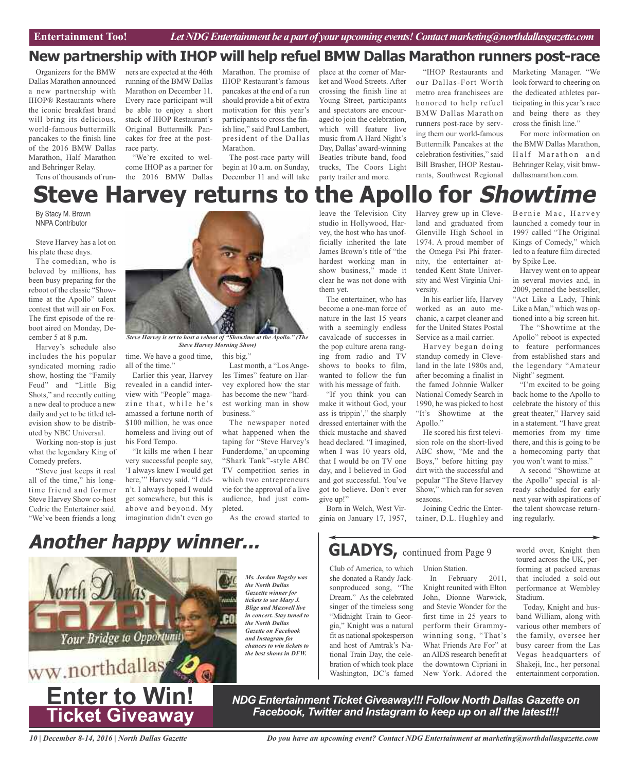### **New partnership with IHOP will help refuel BMW Dallas Marathon runners post-race**

Organizers for the BMW Dallas Marathon announced a new partnership with IHOP® Restaurants where the iconic breakfast brand will bring its delicious, world-famous buttermilk pancakes to the finish line of the 2016 BMW Dallas Marathon, Half Marathon and Behringer Relay.

Tens of thousands of run-

ners are expected at the 46th running of the BMW Dallas Marathon on December 11. Every race participant will be able to enjoy a short stack of IHOP Restaurant's Original Buttermilk Pancakes for free at the postrace party.

"We're excited to welcome IHOP as a partner for the 2016 BMW Dallas

Marathon. The promise of IHOP Restaurant's famous pancakes at the end of a run should provide a bit of extra motivation for this year's participants to cross the finish line," said Paul Lambert, president of the Dallas Marathon.

The post-race party will begin at 10 a.m. on Sunday, December 11 and will take

place at the corner of Market and Wood Streets. After crossing the finish line at Young Street, participants and spectators are encouraged to join the celebration, which will feature live music from A Hard Night's Day, Dallas' award-winning Beatles tribute band, food trucks, The Coors Light party trailer and more.

"IHOP Restaurants and our Dallas-Fort Worth metro area franchisees are honored to help refuel BMW Dallas Marathon runners post-race by serving them our world-famous Buttermilk Pancakes at the celebration festivities," said Bill Brasher, IHOP Restaurants, Southwest Regional

land and graduated from Glenville High School in 1974. A proud member of the Omega Psi Phi fraternity, the entertainer attended Kent State University and West Virginia Uni-

In his earlier life, Harvey worked as an auto mechanic, a carpet cleaner and for the United States Postal Service as a mail carrier. Harvey began doing standup comedy in Cleveland in the late 1980s and, after becoming a finalist in the famed Johnnie Walker National Comedy Search in 1990, he was picked to host "It's Showtime at the

He scored his first television role on the short-lived ABC show, "Me and the Boys," before hitting pay dirt with the successful and popular "The Steve Harvey Show," which ran for seven

Joining Cedric the Entertainer, D.L. Hughley and

versity.

Apollo."

seasons.

Marketing Manager. "We look forward to cheering on the dedicated athletes participating in this year's race and being there as they cross the finish line."

For more information on the BMW Dallas Marathon, Half Marathon and Behringer Relay, visit bmwdallasmarathon.com.

### Harvey grew up in Cleve-**Steve Harvey returns to the Apollo for Showtime**

By Stacy M. Brown NNPA Contributor

Steve Harvey has a lot on his plate these days.

The comedian, who is beloved by millions, has been busy preparing for the reboot of the classic "Showtime at the Apollo" talent contest that will air on Fox. The first episode of the reboot aired on Monday, December 5 at 8 p.m.

Harvey's schedule also includes the his popular syndicated morning radio show, hosting the "Family Feud" and "Little Big Shots," and recently cutting a new deal to produce a new daily and yet to be titled television show to be distributed by NBC Universal.

Working non-stop is just what the legendary King of Comedy prefers.

"Steve just keeps it real all of the time," his longtime friend and former Steve Harvey Show co-host Cedric the Entertainer said. "We've been friends a long



*Steve Harvey is set to host a reboot of "Showtime at the Apollo." (The Steve Harvey Morning Show)*

time. We have a good time, this big." all of the time."

Earlier this year, Harvey revealed in a candid interview with "People" magazine that, while he's amassed a fortune north of \$100 million, he was once homeless and living out of his Ford Tempo.

"It kills me when I hear very successful people say, 'I always knew I would get here," Harvey said. "I didn't. I always hoped I would get somewhere, but this is above and beyond. My imagination didn't even go

Last month, a "Los Angeles Times" feature on Har-

vey explored how the star has become the new "hardest working man in show business."

The newspaper noted what happened when the taping for "Steve Harvey's Funderdome," an upcoming "Shark Tank"-style ABC TV competition series in which two entrepreneurs vie for the approval of a live audience, had just completed.

As the crowd started to

*Ms. Jordan Bagsby was the North Dallas Gazeette winner for tickets to see Mary J. Blige and Maxwell live in concert. Stay tuned to the North Dallas Gazette on Facebook and Instagram for chances to win tickets to the best shows in DFW.*

leave the Television City studio in Hollywood, Harvey, the host who has unofficially inherited the late James Brown's title of "the hardest working man in show business," made it clear he was not done with them yet.

The entertainer, who has become a one-man force of nature in the last 15 years with a seemingly endless cavalcade of successes in the pop culture arena ranging from radio and TV shows to books to film, wanted to follow the fun with his message of faith.

"If you think you can make it without God, your ass is trippin'," the sharply dressed entertainer with the thick mustache and shaved head declared. "I imagined, when I was 10 years old, that I would be on TV one day, and I believed in God and got successful. You've got to believe. Don't ever give up!"

Born in Welch, West Virginia on January 17, 1957,

> Dream." As the celebrated singer of the timeless song "Midnight Train to Georgia," Knight was a natural fit as national spokesperson and host of Amtrak's National Train Day, the celebration of which took place Washington, DC's famed

## **GLADYS,** continued from Page <sup>9</sup>

#### Club of America, to which she donated a Randy Jack-Union Station.

sonproduced song, "The In February 2011, Knight reunited with Elton John, Dionne Warwick, and Stevie Wonder for the first time in 25 years to perform their Grammywinning song, "That's What Friends Are For" at anAIDS research benefit at the downtown Cipriani in New York. Adored the

Bernie Mac, Harvey launched a comedy tour in 1997 called "The Original Kings of Comedy," which led to a feature film directed by Spike Lee.

Harvey went on to appear in several movies and, in 2009, penned the bestseller, "Act Like a Lady, Think Like a Man," which was optioned into a big screen hit.

The "Showtime at the Apollo" reboot is expected to feature performances from established stars and the legendary "Amateur Night" segment.

"I'm excited to be going back home to the Apollo to celebrate the history of this great theater," Harvey said in a statement. "I have great memories from my time there, and this is going to be a homecoming party that you won't want to miss."

A second "Showtime at the Apollo" special is already scheduled for early next year with aspirations of the talent showcase returning regularly.

world over, Knight then toured across the UK, performing at packed arenas that included a sold-out performance at Wembley Stadium.

Today, Knight and husband William, along with various other members of the family, oversee her busy career from the Las Vegas headquarters of Shakeji, Inc., her personal entertainment corporation.

## **Another happy winner...**





*NDG Entertainment Ticket Giveaway!!! Follow North Dallas Gazette on Facebook, Twitter and Instagram to keep up on all the latest!!!*

*10 | December 8-14, 2016 | North Dallas Gazette*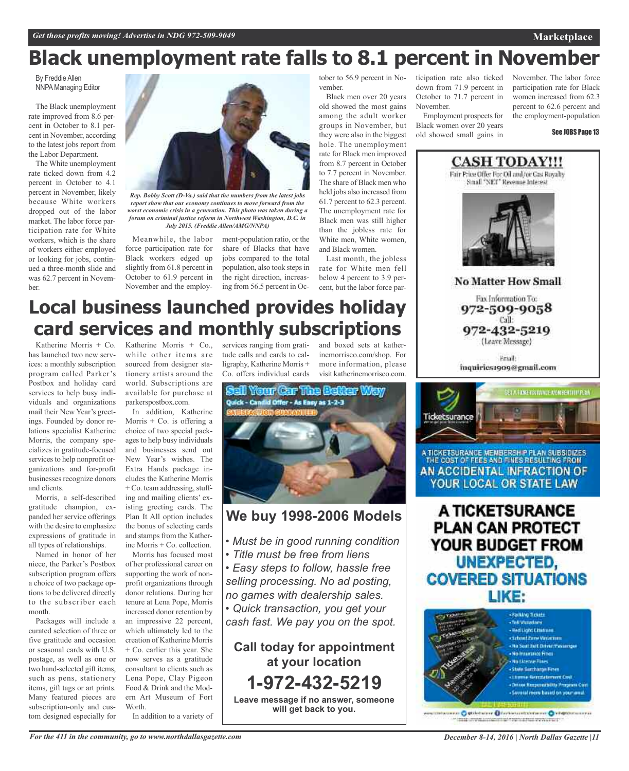## **Black unemployment rate falls to 8.1 percent in November**

By Freddie Allen **NNPA Managing Editor** 

The Black unemployment rate improved from 8.6 percent in October to 8.1 percent in November, according to the latest jobs report from the Labor Department.

The White unemployment rate ticked down from 4.2 percent in October to 4.1 percent in November, likely because White workers dropped out of the labor market. The labor force participation rate for White workers, which is the share of workers either employed or looking for jobs, continued a three-month slide and was 62.7 percent in November.



*Rep. Bobby Scott (D-Va.) said that the numbers from the latest jobs report show that our economy continues to move forward from the worst economic crisis in a generation. This photo was taken during a forum on criminal justice reform in Northwest Washington, D.C. in July 2015. (Freddie Allen/AMG/NNPA)*

Meanwhile, the labor ment-population ratio, or the force participation rate for Black workers edged up slightly from 61.8 percent in October to 61.9 percent in November and the employ-

share of Blacks that have jobs compared to the total population, also took steps in the right direction, increasing from 56.5 percent in Oc-

vember.

Black men over 20 years old showed the most gains among the adult worker groups in November, but they were also in the biggest hole. The unemployment rate for Black men improved from 8.7 percent in October to 7.7 percent in November. The share of Black men who held jobs also increased from 61.7 percent to 62.3 percent. The unemployment rate for Black men was still higher than the jobless rate for White men, White women, and Black women.

Last month, the jobless rate for White men fell below 4 percent to 3.9 percent, but the labor force par-

tober to 56.9 percent in No-ticipation rate also ticked down from 71.9 percent in October to 71.7 percent in November.

> Employment prospects for Black women over 20 years old showed small gains in

November. The labor force participation rate for Black women increased from 62.3 percent to 62.6 percent and the employment-population

**Marketplace**

See JOBS Page 13



Call: 972-432-5219 (Leave Message)

**Email** 

**Local business launched provides holiday card services and monthly subscriptions**

Katherine Morris + Co. has launched two new services: a monthly subscription program called Parker's Postbox and holiday card services to help busy individuals and organizations mail their New Year's greetings. Founded by donor relations specialist Katherine Morris, the company specializes in gratitude-focused services to help nonprofit organizations and for-profit businesses recognize donors and clients.

Morris, a self-described gratitude champion, expanded her service offerings with the desire to emphasize expressions of gratitude in all types of relationships.

Named in honor of her niece, the Parker's Postbox subscription program offers a choice of two package options to be delivered directly to the subscriber each month.

Packages will include a curated selection of three or five gratitude and occasion or seasonal cards with U.S. postage, as well as one or two hand-selected gift items, such as pens, stationery items, gift tags or art prints. Many featured pieces are subscription-only and custom designed especially for

Katherine Morris + Co., while other items are sourced from designer stationery artists around the world. Subscriptions are available for purchase at parkerspostbox.com.

In addition, Katherine Morris  $+$  Co. is offering a choice of two special packagesto help busy individuals and businesses send out New Year's wishes. The Extra Hands package includes the Katherine Morris + Co. team addressing, stuffing and mailing clients' existing greeting cards. The Plan It All option includes the bonus of selecting cards and stamps from the Katherine Morris + Co. collection.

Morris has focused most of her professional career on supporting the work of nonprofit organizations through donor relations. During her tenure at Lena Pope, Morris increased donor retention by an impressive 22 percent, which ultimately led to the creation of Katherine Morris + Co. earlier this year. She now serves as a gratitude consultant to clients such as Lena Pope, Clay Pigeon Food & Drink and the Modern Art Museum of Fort Worth. In addition to a variety of

services ranging from gratitude calls and cards to calligraphy, Katherine Morris + Co. offers individual cards

and boxed sets at katherinemorrisco.com/shop. For more information, please visit katherinemorrisco.com.



### **We buy 1998-2006 Models**

- *• Must be in good running condition*
- *• Title must be free from liens*

*• Easy steps to follow, hassle free selling processing. No ad posting, no games with dealership sales.*

*• Quick transaction, you get your cash fast. We pay you on the spot.*

**Call today for appointment at your location 1-972-432-5219 Leave message if no answer, someone will get back to you.**



A TICKETSURANCE MEMBERSH P PLAN SUBSIDIZES THE COST OF FEES AND FINES RESULTING FROM AN ACCIDENTAL INFRACTION OF YOUR LOCAL OR STATE LAW

A TICKETSURANCE **PLAN CAN PROTECT** YOUR BUDGET FROM UNEXPECTED, **COVERED SITUATIONS** LIKE:



rtacanon O Stichterane O forbatuartecoma no O virginismuserus make complete consideration of the first state or whether the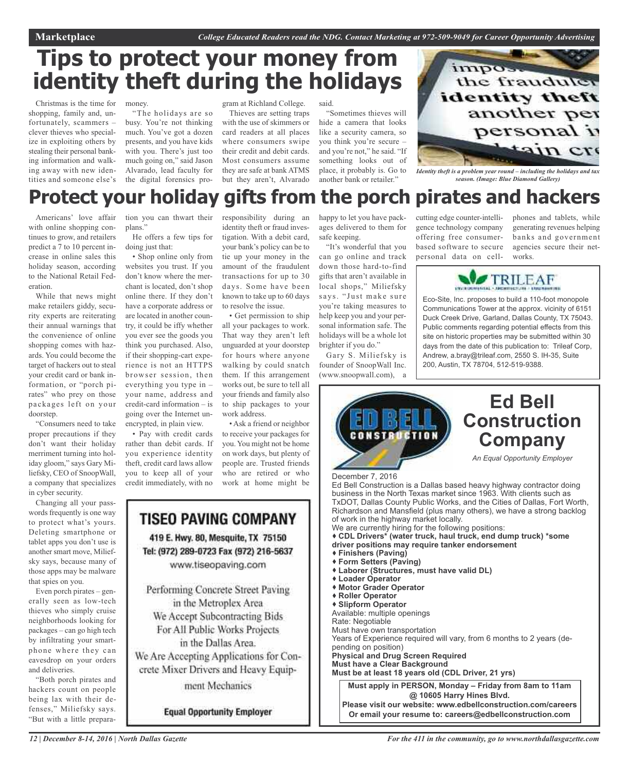**Marketplace** *College Educated Readers read the NDG. Contact Marketing at 972-509-9049 for Career Opportunity Advertising*

## **Tips to protect your money from identity theft during the holidays**

Christmas is the time for shopping, family and, unfortunately, scammers – clever thieves who specialize in exploiting others by stealing their personal banking information and walking away with new identities and someone else's money.

"The holidays are so busy. You're not thinking much. You've got a dozen presents, and you have kids with you. There's just too much going on," said Jason Alvarado, lead faculty for the digital forensics pro-

gram at Richland College. Thieves are setting traps with the use of skimmers or card readers at all places where consumers swipe their credit and debit cards. Most consumers assume they are safe at bank ATMS but they aren't, Alvarado

said. "Sometimes thieves will hide a camera that looks like a security camera, so you think you're secure – and you're not," he said. "If something looks out of place, it probably is. Go to another bank or retailer."



*Identity theft is a problem year round – including the holidays and tax season. (Image: Blue Diamond Gallery)*

## **Protect your holiday gifts from the porch pirates and hackers**

Americans' love affair with online shopping continues to grow, and retailers predict a 7 to 10 percent increase in online sales this holiday season, according to the National Retail Federation.

While that news might make retailers giddy, security experts are reiterating their annual warnings that the convenience of online shopping comes with hazards. You could become the target of hackers out to steal your credit card or bank information, or "porch pirates" who prey on those packages left on your doorstep.

"Consumers need to take proper precautions if they don't want their holiday merriment turning into holiday gloom," says Gary Miliefsky, CEO of SnoopWall, a company that specializes in cyber security.

Changing all your passwords frequently is one way to protect what's yours. Deleting smartphone or tablet apps you don't use is another smart move, Miliefsky says, because many of those apps may be malware that spies on you.

Even porch pirates – generally seen as low-tech thieves who simply cruise neighborhoods looking for packages – can go high tech by infiltrating your smartphone where they can eavesdrop on your orders and deliveries.

"Both porch pirates and hackers count on people being lax with their defenses," Miliefsky says. "But with a little preparation you can thwart their plans."

He offers a few tips for doing just that:

• Shop online only from websites you trust. If you don't know where the merchant is located, don't shop online there. If they don't have a corporate address or are located in another country, it could be iffy whether you ever see the goods you think you purchased. Also, if their shopping-cart experience is not an HTTPS browser session, then everything you type in – your name, address and credit-card information – is going over the Internet unencrypted, in plain view.

• Pay with credit cards rather than debit cards. If you experience identity theft, credit card laws allow you to keep all of your credit immediately, with no

responsibility during an identity theft or fraud investigation. With a debit card, your bank's policy can be to tie up your money in the amount of the fraudulent transactions for up to 30 days. Some have been known to take up to 60 days to resolve the issue.

• Get permission to ship all your packages to work. That way they aren't left unguarded at your doorstep for hours where anyone walking by could snatch them. If this arrangement works out, be sure to tell all your friends and family also to ship packages to your work address.

• Ask a friend or neighbor to receive your packages for you. You might not be home on work days, but plenty of people are. Trusted friends who are retired or who work at home might be



**Equal Opportunity Employer** 

happy to let you have packages delivered to them for safe keeping.

"It's wonderful that you can go online and track down those hard-to-find gifts that aren't available in local shops," Miliefsky says. "Just make sure you're taking measures to help keep you and your personal information safe. The holidays will be a whole lot brighter if you do."

Gary S. Miliefsky is founder of SnoopWall Inc. (www.snoopwall.com), a cutting edge counter-intelligence technology company offering free consumerbased software to secure personal data on cellphones and tablets, while generating revenues helping banks and government agencies secure their networks.



Eco-Site, Inc. proposes to build a 110-foot monopole Communications Tower at the approx. vicinity of 6151 Duck Creek Drive, Garland, Dallas County, TX 75043. Public comments regarding potential effects from this site on historic properties may be submitted within 30 days from the date of this publication to: Trileaf Corp, Andrew, a.bray@trileaf.com, 2550 S. IH-35, Suite 200, Austin, TX 78704, 512-519-9388.

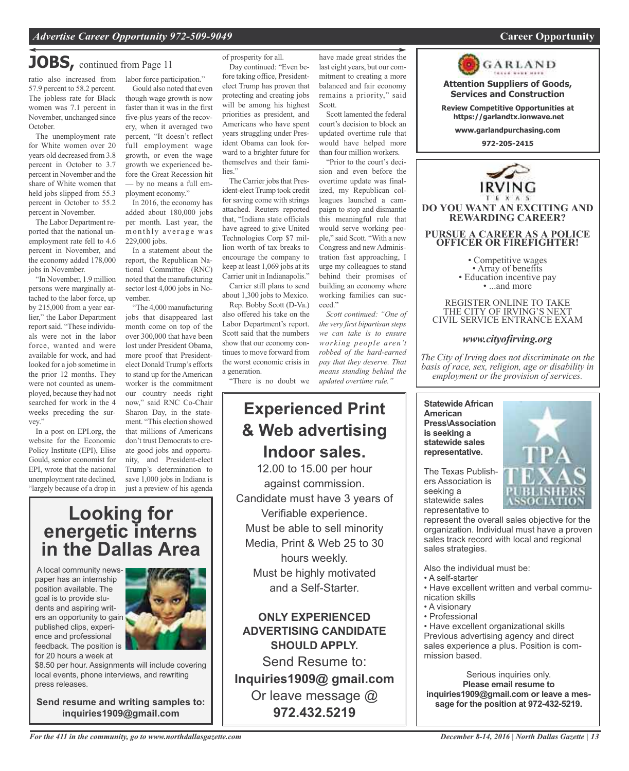**Attention Suppliers of Goods, Services and Construction Review Competitive Opportunities at https://garlandtx.ionwave.net www.garlandpurchasing.com 972-205-2415**

GARLAND

**DO YOU WANT AN EXCITING AND REWARDING CAREER?**

**PURSUE A CAREER AS A POLICE OFFICER OR FIREFIGHTER!**

• Competitive wages<br>• Array of benefits<br>• Education incentive pay<br>• ...and more

REGISTER ONLINE TO TAKE THE CITY OF IRVING'S NEXT CIVIL SERVICE ENTRANCE EXAM

*www.cityofirving.org*

*employment or the provision of services.*

### **JOBS,** continued from Page <sup>11</sup>

ratio also increased from 57.9 percent to 58.2 percent. The jobless rate for Black women was 7.1 percent in November, unchanged since October.

The unemployment rate for White women over 20 years old decreased from 3.8 percent in October to 3.7 percent in November and the share of White women that held jobs slipped from 55.3 percent in October to 55.2 percent in November.

The Labor Department reported that the national unemployment rate fell to 4.6 percent in November, and the economy added 178,000 jobs in November.

"In November, 1.9 million persons were marginally attached to the labor force, up by 215,000 from a year earlier," the Labor Department report said. "These individuals were not in the labor force, wanted and were available for work, and had looked for a job sometime in the prior 12 months. They were not counted as unemployed, because they had not searched for work in the 4 weeks preceding the survey."

In a post on EPI.org, the website for the Economic Policy Institute (EPI), Elise Gould, senior economist for EPI, wrote that the national unemployment rate declined, "largely because of a drop in labor force participation."

Gould also noted that even though wage growth is now faster than it was in the first five-plus years of the recovery, when it averaged two percent, "It doesn't reflect full employment wage growth, or even the wage growth we experienced before the Great Recession hit — by no means a full employment economy."

In 2016, the economy has added about 180,000 jobs per month. Last year, the monthly average was 229,000 jobs.

In a statement about the report, the Republican National Committee (RNC) noted that the manufacturing sector lost 4,000 jobs in November.

"The 4,000 manufacturing jobs that disappeared last month come on top of the over 300,000 that have been lost under President Obama, more proof that Presidentelect Donald Trump's efforts to stand up for the American worker is the commitment our country needs right now," said RNC Co-Chair Sharon Day, in the statement. "This election showed that millions of Americans don't trust Democrats to create good jobs and opportunity, and President-elect Trump's determination to save 1,000 jobs in Indiana is just a preview of his agenda

### **Looking for energetic interns in the Dallas Area**

A local community newspaper has an internship position available. The goal is to provide students and aspiring writers an opportunity to gain published clips, experience and professional feedback. The position is for 20 hours a week at



\$8.50 per hour. Assignments will include covering local events, phone interviews, and rewriting press releases.

**Send resume and writing samples to: inquiries1909@gmail.com**

of prosperity for all.

Day continued: "Even before taking office, Presidentelect Trump has proven that protecting and creating jobs will be among his highest priorities as president, and Americans who have spent years struggling under President Obama can look forward to a brighter future for themselves and their families."

The Carrier jobs that President-elect Trump took credit for saving come with strings attached. Reuters reported that, "Indiana state officials have agreed to give United Technologies Corp \$7 million worth of tax breaks to encourage the company to keep at least 1,069 jobs at its Carrier unit in Indianapolis."

Carrier still plans to send about 1,300 jobs to Mexico.

Rep. Bobby Scott (D-Va.) also offered his take on the Labor Department's report. Scott said that the numbers show that our economy continues to move forward from the worst economic crisis in a generation.

"There is no doubt we

## **Experienced Print & Web advertising Indoor sales.**

12.00 to 15.00 per hour against commission. Candidate must have 3 years of Verifiable experience. Must be able to sell minority Media, Print & Web 25 to 30 hours weekly. Must be highly motivated and a Self-Starter.

**ONLY EXPERIENCED ADVERTISING CANDIDATE SHOULD APPLY.**

Send Resume to: **Inquiries1909@ gmail.com** Or leave message @ **972.432.5219**

have made great strides the last eight years, but our commitment to creating a more balanced and fair economy remains a priority," said Scott.

Scott lamented the federal court's decision to block an updated overtime rule that would have helped more than four million workers. "Prior to the court's deci-

sion and even before the overtime update was finalized, my Republican colleagues launched a campaign to stop and dismantle this meaningful rule that would serve working people," said Scott. "With a new Congress and new Administration fast approaching, I urge my colleagues to stand behind their promises of building an economy where working families can succeed."

*Scott continued: "One of the very first bipartisan steps we can take is to ensure working people aren't robbed of the hard-earned pay that they deserve. That means standing behind the updated overtime rule."*

> **Statewide African American Press\Association is seeking a statewide sales representative.**

The Texas Publishers Association is seeking a statewide sales representative to



represent the overall sales objective for the organization. Individual must have a proven sales track record with local and regional sales strategies.

Also the individual must be:

- A self-starter
- Have excellent written and verbal communication skills
- A visionary
- Professional

• Have excellent organizational skills Previous advertising agency and direct sales experience a plus. Position is commission based.

Serious inquiries only. **Please email resume to inquiries1909@gmail.com or leave a message for the position at 972-432-5219.**

*The City of Irving does not discriminate on the basis of race, sex, religion, age or disability in*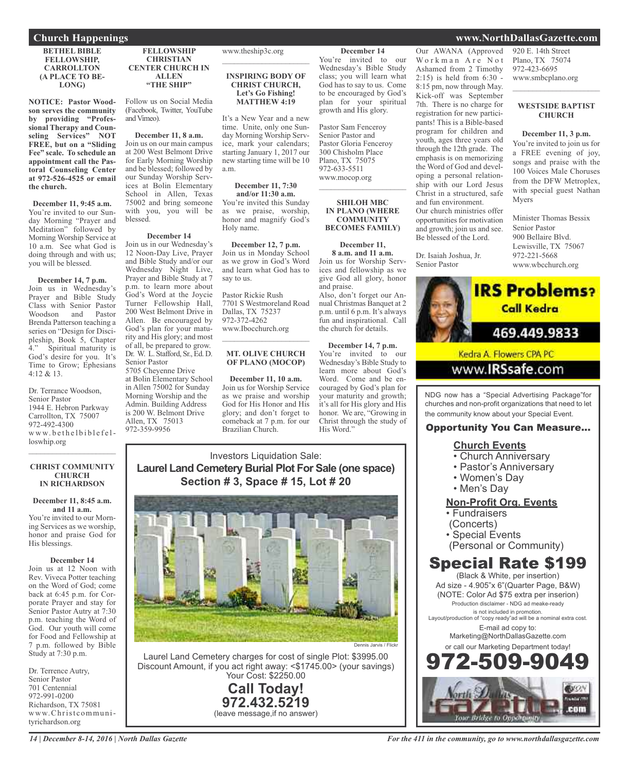**BETHEL BIBLE FELLOWSHIP, CARROLLTON (A PLACE TO BE-LONG)**

**NOTICE: Pastor Woodson serves the community by providing "Professional Therapy and Counseling Services" NOT FREE, but on a "Sliding Fee" scale. To schedule an appointment call the Pastoral Counseling Center at 972-526-4525 or email the church.**

**December 11, 9:45 a.m.** You're invited to our Sunday Morning "Prayer and Meditation" followed by Morning Worship Service at 10 a.m. See what God is doing through and with us; you will be blessed.

#### **December 14, 7 p.m.**

Join us in Wednesday's Prayer and Bible Study Class with Senior Pastor Woodson Brenda Patterson teaching a series on "Design for Discipleship, Book 5, Chapter 4." Spiritual maturity is 4." Spiritual maturity is God's desire for you. It's Time to Grow; Ephesians 4:12 & 13.

Dr. Terrance Woodson, Senior Pastor 1944 E. Hebron Parkway Carrollton, TX 75007 972-492-4300 www.bethelbiblefelloswhip.org

 $\mathcal{L}_\text{max}$  , which is a set of the set of the set of the set of the set of the set of the set of the set of the set of the set of the set of the set of the set of the set of the set of the set of the set of the set of **CHRIST COMMUNITY CHURCH IN RICHARDSON**

**December 11, 8:45 a.m. and 11 a.m.** You're invited to our Morning Services as we worship, honor and praise God for

**December 14** Join us at 12 Noon with Rev. Viveca Potter teaching on the Word of God; come back at 6:45 p.m. for Corporate Prayer and stay for Senior Pastor Autry at 7:30 p.m. teaching the Word of God. Our youth will come for Food and Fellowship at 7 p.m. followed by Bible

His blessings.

Study at 7:30 p.m.

Dr. Terrence Autry, Senior Pastor 701 Centennial 972-991-0200 Richardson, TX 75081 www.Christcommuni-

tyrichardson.org

#### **FELLOWSHIP CHRISTIAN CENTER CHURCH IN ALLEN "THE SHIP"**

Follow us on Social Media (Facebook, Twitter, YouTube and Vimeo).

#### **December 11, 8 a.m.** Join us on our main campus at 200 West Belmont Drive for Early Morning Worship and be blessed; followed by our Sunday Worship Services at Bolin Elementary School in Allen, Texas 75002 and bring someone with you, you will be blessed.

#### **December 14**

Join us in our Wednesday's 12 Noon-Day Live, Prayer and Bible Study and/or our Wednesday Night Live, Prayer and Bible Study at 7 p.m. to learn more about God's Word at the Joycie Turner Fellowship Hall, 200 West Belmont Drive in Allen. Be encouraged by God's plan for your maturity and His glory; and most of all, be prepared to grow. Dr. W. L. Stafford, Sr., Ed. D. Senior Pastor

5705 Cheyenne Drive at Bolin Elementary School in Allen 75002 for Sunday Morning Worship and the Admin. Building Address is 200 W. Belmont Drive Allen, TX 75013 972-359-9956

#### www.theship3c.org

#### **INSPIRING BODY OF CHRIST CHURCH, Let's Go Fishing! MATTHEW 4:19**

 $\mathcal{L}_\text{max}$  and  $\mathcal{L}_\text{max}$  and  $\mathcal{L}_\text{max}$ 

It's a New Year and a new time. Unite, only one Sunday Morning Worship Service, mark your calendars; starting January 1, 2017 our new starting time will be 10 a.m.

#### **December 11, 7:30 and/or 11:30 a.m.** You're invited this Sunday as we praise, worship, honor and magnify God's Holy name.

**December 12, 7 p.m.** Join us in Monday School as we grow in God's Word and learn what God has to say to us.

Pastor Rickie Rush 7701 S Westmoreland Road Dallas, TX 75237 972-372-4262 www.Ibocchurch.org  $\overline{\phantom{a}}$  , and the set of the set of the set of the set of the set of the set of the set of the set of the set of the set of the set of the set of the set of the set of the set of the set of the set of the set of the s

#### **MT. OLIVE CHURCH OF PLANO (MOCOP)**

**December 11, 10 a.m.** Join us for Worship Service as we praise and worship God for His Honor and His glory; and don't forget to comeback at 7 p.m. for our Brazilian Church.

### **December 14**

You're invited to our Wednesday's Bible Study class; you will learn what God has to say to us. Come to be encouraged by God's plan for your spiritual growth and His glory.

Pastor Sam Fenceroy Senior Pastor and Pastor Gloria Fenceroy 300 Chisholm Place Plano, TX 75075 972-633-5511 www.mocop.org

#### **SHILOH MBC IN PLANO (WHERE COMMUNITY BECOMES FAMILY)**

 $\mathcal{L}_\mathcal{L}$  , where  $\mathcal{L}_\mathcal{L}$  is the set of the set of the set of the set of the set of the set of the set of the set of the set of the set of the set of the set of the set of the set of the set of the set of the

**December 11, 8 a.m. and 11 a.m.** Join us for Worship Services and fellowship as we give God all glory, honor and praise.

Also, don't forget our Annual Christmas Banquet at 2 p.m. until 6 p.m. It's always fun and inspirational. Call the church for details.

**December 14, 7 p.m.** You're invited to our Wednesday's Bible Study to learn more about God's Word. Come and be encouraged by God's plan for your maturity and growth; it's all for His glory and His honor. We are, "Growing in Christ through the study of His Word."

### Investors Liquidation Sale: **Laurel Land Cemetery Burial Plot For Sale (one space) Section # 3, Space # 15, Lot # 20**



Laurel Land Cemetery charges for cost of single Plot: \$3995.00 Discount Amount, if you act right away: <\$1745.00> (your savings) Your Cost: \$2250.00

> **Call Today! 972.432.5219** (leave message,if no answer)

#### Our AWANA (Approved Workman Are Not Ashamed from 2 Timothy 2:15) is held from 6:30 - 8:15 pm, now through May. Kick-off was September 7th. There is no charge for registration for new participants! This is a Bible-based program for children and youth, ages three years old through the 12th grade. The emphasis is on memorizing  $\overline{\phantom{a}}$  , and the set of the set of the set of the set of the set of the set of the set of the set of the set of the set of the set of the set of the set of the set of the set of the set of the set of the set of the s

the Word of God and developing a personal relationship with our Lord Jesus Christ in a structured, safe and fun environment. Our church ministries offer opportunities for motivation and growth; join us and see. Be blessed of the Lord.

Dr. Isaiah Joshua, Jr. Senior Pastor

920 E. 14th Street Plano, TX 75074 972-423-6695 www.smbcplano.org

### **WESTSIDE BAPTIST CHURCH**

**December 11, 3 p.m.** You're invited to join us for a FREE evening of joy, songs and praise with the 100 Voices Male Choruses from the DFW Metroplex, with special guest Nathan Myers

Minister Thomas Bessix Senior Pastor 900 Bellaire Blvd. Lewisville, TX 75067 972-221-5668 www.wbcchurch.org



### Kedra A. Flowers CPA PC

### www.**IRSsafe**.com

NDG now has a "Special Advertising Package"for churches and non-profit organizations that need to let the community know about your Special Event.

### Opportunity You Can Measure...

### **Church Events**

- Church Anniversary
- Pastor's Anniversary
- Women's Day
- Men's Day

### **Non-Profit Org. Events**

- Fundraisers
- (Concerts)
- Special Events
- (Personal or Community)

### Special Rate \$199

(Black & White, per insertion) Ad size - 4.905"x 6"(Quarter Page, B&W) (NOTE: Color Ad \$75 extra per inserion) Production disclaimer - NDG ad meake-ready is not included in promotion. Layout/production of "copy ready"ad will be a nominal extra cost. E-mail ad copy to: Marketing@NorthDallasGazette.com or call our Marketing Department today! 972-509-9049



*14 | December 8-14, 2016 | North Dallas Gazette*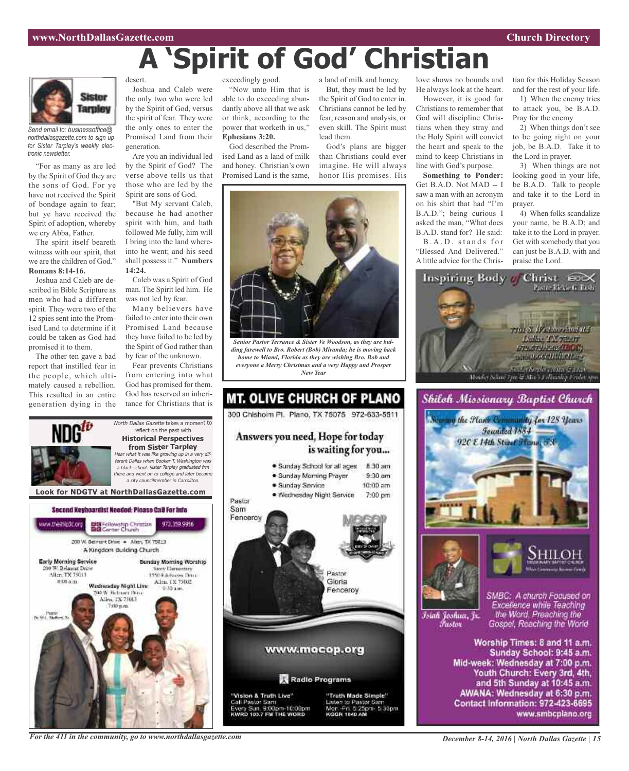# **A 'Spirit of God' Christian**



*Send email to: businessoffice@ northdallasgazette.com to sign up for Sister Tarpley's weekly electronic newsletter.*

"For as many as are led by the Spirit of God they are the sons of God. For ye have not received the Spirit of bondage again to fear; but ye have received the Spirit of adoption, whereby we cry Abba, Father.

The spirit itself beareth witness with our spirit, that we are the children of God." **Romans 8:14-16.**

Joshua and Caleb are described in Bible Scripture as men who had a different spirit. They were two of the 12 spies sent into the Promised Land to determine if it could be taken as God had promised it to them.

The other ten gave a bad report that instilled fear in the people, which ultimately caused a rebellion. This resulted in an entire generation dying in the desert.

Joshua and Caleb were the only two who were led by the Spirit of God, versus the spirit of fear. They were the only ones to enter the Promised Land from their generation.

Are you an individual led by the Spirit of God? The verse above tells us that those who are led by the Spirit are sons of God.

"But My servant Caleb, because he had another spirit with him, and hath followed Me fully, him will I bring into the land whereinto he went; and his seed shall possess it." **Numbers 14:24.**

Caleb was a Spirit of God man. The Spirit led him. He was not led by fear.

Many believers have failed to enter into their own Promised Land because they have failed to be led by the Spirit of God rather than by fear of the unknown.

Fear prevents Christians from entering into what God has promised for them. God has reserved an inheritance for Christians that is

North Dallas Gazette takes a moment to reflect on the past with

exceedingly good.

"Now unto Him that is able to do exceeding abundantly above all that we ask or think, according to the power that worketh in us," **Ephesians 3:20.**

God described the Promised Land as a land of milk and honey. Christian's own Promised Land is the same,

a land of milk and honey. But, they must be led by

the Spirit of God to enter in. Christians cannot be led by fear, reason and analysis, or even skill. The Spirit must lead them.

God's plans are bigger than Christians could ever imagine. He will always honor His promises. His



*Senior Pastor Terrance & Sister Ve Woodson, as they are bidding farewell to Bro. Robert (Bob) Miranda; he is moving back home to Miami, Florida as they are wishing Bro. Bob and everyone a Merry Christmas and a very Happy and Prosper New Year*



Get B.A.D. Not MAD -- I saw a man with an acronym on his shirt that had "I'm B.A.D."; being curious I asked the man, "What does B.A.D. stand for? He said: B . A . D . s t a n d s f o r "Blessed And Delivered." A little advice for the Chris-

love shows no bounds and He always look at the heart. However, it is good for Christians to remember that God will discipline Christians when they stray and the Holy Spirit will convict the heart and speak to the mind to keep Christians in line with God's purpose. **Something to Ponder:**

tian for this Holiday Season and for the rest of your life.

1) When the enemy tries to attack you, be B.A.D. Pray for the enemy

2) When things don't see to be going right on your job, be B.A.D. Take it to the Lord in prayer.

3) When things are not looking good in your life, be B.A.D. Talk to people and take it to the Lord in prayer.

4) When folks scandalize your name, be B.A.D; and take it to the Lord in prayer. Get with somebody that you can just be B.A.D. with and praise the Lord.







Fustor



SMBC: A church Focused on Īsiah Joshua, Jr.

Excellence while Teaching the Word. Preaching the Gospel, Reaching the World

Worship Times: 8 and 11 a.m. Sunday School: 9:45 a.m. Mid-week: Wednesday at 7:00 p.m. Youth Church: Every 3rd, 4th, and 5th Sunday at 10:45 a.m. AWANA: Wednesday at 6:30 p.m. Contact Information: 972-423-6695 www.smbcplano.org

**Historical Perspectives from Sister Tarpley** Hear what it was like growing up in <sup>a</sup> very different Dallas when Booker T. Washington was <sup>a</sup> black school. Sister Tarpley graduated frm there and went on to college and later became <sup>a</sup> city councilmember in Carrollton. **Look for NDGTV at NorthDallasGazette.com**Second Keyboardist Needed: Please CaB For Info DE Fellowship Christian<br>BIB Center Church ww.theship3c.org 972.359.9956 200 W. Bernsht Drive . - Allen, TX 75013 A Kingdom Building Church **Early Morning Service** Sunday Morning Worship 00 W. Belmont Drive **Nexty Elementary** Alice TX 75013 1450 Ethnologies Drug-Allen, 1X 75002 **图 00 点 图** Wadnasday Night Live **DO W. Retroem Days** Allen, TX 75013

*For the 411 in the community, go to www.northdallasgazette.com*